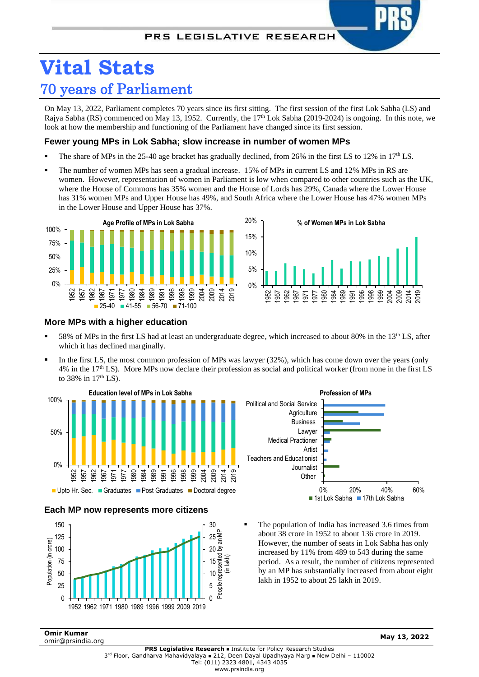# **Vital Stats** 70 years of Parliament

On May 13, 2022, Parliament completes 70 years since its first sitting. The first session of the first Lok Sabha (LS) and Rajya Sabha (RS) commenced on May 13, 1952. Currently, the 17<sup>th</sup> Lok Sabha (2019-2024) is ongoing. In this note, we look at how the membership and functioning of the Parliament have changed since its first session.

# **Fewer young MPs in Lok Sabha; slow increase in number of women MPs**

- The share of MPs in the 25-40 age bracket has gradually declined, from 26% in the first LS to 12% in 17<sup>th</sup> LS.
- The number of women MPs has seen a gradual increase. 15% of MPs in current LS and 12% MPs in RS are women. However, representation of women in Parliament is low when compared to other countries such as the UK, where the House of Commons has 35% women and the House of Lords has 29%, Canada where the Lower House has 31% women MPs and Upper House has 49%, and South Africa where the Lower House has 47% women MPs in the Lower House and Upper House has 37%.



### **More MPs with a higher education**

- 58% of MPs in the first LS had at least an undergraduate degree, which increased to about 80% in the  $13<sup>th</sup>$  LS, after which it has declined marginally.
- In the first LS, the most common profession of MPs was lawyer (32%), which has come down over the years (only 4% in the 17th LS). More MPs now declare their profession as social and political worker (from none in the first LS to 38% in  $17<sup>th</sup>$  LS).







The population of India has increased 3.6 times from about 38 crore in 1952 to about 136 crore in 2019. However, the number of seats in Lok Sabha has only increased by 11% from 489 to 543 during the same period. As a result, the number of citizens represented by an MP has substantially increased from about eight lakh in 1952 to about 25 lakh in 2019.

**Omir Kumar** omir@prsindia.org **May 13, 2022**